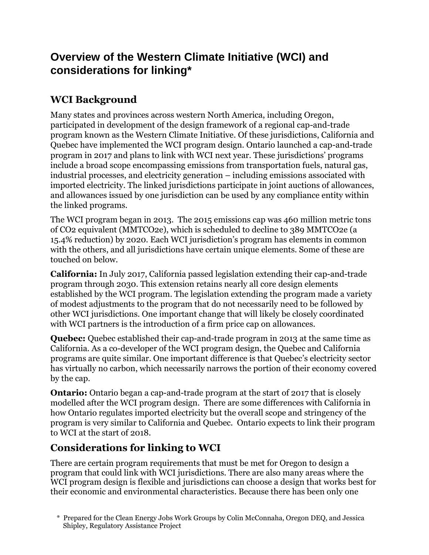## **Overview of the Western Climate Initiative (WCI) and considerations for linking\***

## **WCI Background**

Many states and provinces across western North America, including Oregon, participated in development of the design framework of a regional cap-and-trade program known as the Western Climate Initiative. Of these jurisdictions, California and Quebec have implemented the WCI program design. Ontario launched a cap-and-trade program in 2017 and plans to link with WCI next year. These jurisdictions' programs include a broad scope encompassing emissions from transportation fuels, natural gas, industrial processes, and electricity generation – including emissions associated with imported electricity. The linked jurisdictions participate in joint auctions of allowances, and allowances issued by one jurisdiction can be used by any compliance entity within the linked programs.

The WCI program began in 2013. The 2015 emissions cap was 460 million metric tons of CO2 equivalent (MMTCO2e), which is scheduled to decline to 389 MMTCO2e (a 15.4% reduction) by 2020. Each WCI jurisdiction's program has elements in common with the others, and all jurisdictions have certain unique elements. Some of these are touched on below.

**California:** In July 2017, California passed legislation extending their cap-and-trade program through 2030. This extension retains nearly all core design elements established by the WCI program. The legislation extending the program made a variety of modest adjustments to the program that do not necessarily need to be followed by other WCI jurisdictions. One important change that will likely be closely coordinated with WCI partners is the introduction of a firm price cap on allowances.

**Quebec:** Quebec established their cap-and-trade program in 2013 at the same time as California. As a co-developer of the WCI program design, the Quebec and California programs are quite similar. One important difference is that Quebec's electricity sector has virtually no carbon, which necessarily narrows the portion of their economy covered by the cap.

**Ontario:** Ontario began a cap-and-trade program at the start of 2017 that is closely modelled after the WCI program design. There are some differences with California in how Ontario regulates imported electricity but the overall scope and stringency of the program is very similar to California and Quebec. Ontario expects to link their program to WCI at the start of 2018.

## **Considerations for linking to WCI**

There are certain program requirements that must be met for Oregon to design a program that could link with WCI jurisdictions. There are also many areas where the WCI program design is flexible and jurisdictions can choose a design that works best for their economic and environmental characteristics. Because there has been only one

<sup>\*</sup> Prepared for the Clean Energy Jobs Work Groups by Colin McConnaha, Oregon DEQ, and Jessica Shipley, Regulatory Assistance Project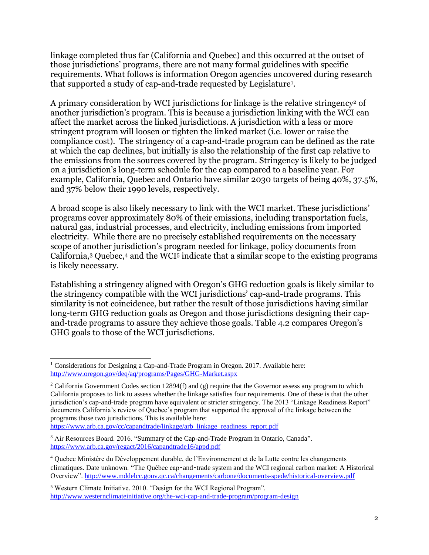linkage completed thus far (California and Quebec) and this occurred at the outset of those jurisdictions' programs, there are not many formal guidelines with specific requirements. What follows is information Oregon agencies uncovered during research that supported a study of cap-and-trade requested by Legislature<sup>1</sup> .

A primary consideration by WCI jurisdictions for linkage is the relative stringency<sup>2</sup> of another jurisdiction's program. This is because a jurisdiction linking with the WCI can affect the market across the linked jurisdictions. A jurisdiction with a less or more stringent program will loosen or tighten the linked market (i.e. lower or raise the compliance cost). The stringency of a cap-and-trade program can be defined as the rate at which the cap declines, but initially is also the relationship of the first cap relative to the emissions from the sources covered by the program. Stringency is likely to be judged on a jurisdiction's long-term schedule for the cap compared to a baseline year. For example, California, Quebec and Ontario have similar 2030 targets of being 40%, 37.5%, and 37% below their 1990 levels, respectively.

A broad scope is also likely necessary to link with the WCI market. These jurisdictions' programs cover approximately 80% of their emissions, including transportation fuels, natural gas, industrial processes, and electricity, including emissions from imported electricity. While there are no precisely established requirements on the necessary scope of another jurisdiction's program needed for linkage, policy documents from California,<sup>3</sup> Quebec,<sup>4</sup> and the WCI<sup>5</sup> indicate that a similar scope to the existing programs is likely necessary.

Establishing a stringency aligned with Oregon's GHG reduction goals is likely similar to the stringency compatible with the WCI jurisdictions' cap-and-trade programs. This similarity is not coincidence, but rather the result of those jurisdictions having similar long-term GHG reduction goals as Oregon and those jurisdictions designing their capand-trade programs to assure they achieve those goals. Table 4.2 compares Oregon's GHG goals to those of the WCI jurisdictions.

[https://www.arb.ca.gov/cc/capandtrade/linkage/arb\\_linkage\\_readiness\\_report.pdf](https://www.arb.ca.gov/cc/capandtrade/linkage/arb_linkage_readiness_report.pdf)

 $\overline{a}$ <sup>1</sup> Considerations for Designing a Cap-and-Trade Program in Oregon. 2017. Available here: <http://www.oregon.gov/deq/aq/programs/Pages/GHG-Market.aspx>

<sup>&</sup>lt;sup>2</sup> California Government Codes section 12894(f) and (g) require that the Governor assess any program to which California proposes to link to assess whether the linkage satisfies four requirements. One of these is that the other jurisdiction's cap-and-trade program have equivalent or stricter stringency. The 2013 "Linkage Readiness Report" documents California's review of Quebec's program that supported the approval of the linkage between the programs those two jurisdictions. This is available here:

<sup>3</sup> Air Resources Board. 2016. "Summary of the Cap-and-Trade Program in Ontario, Canada". <https://www.arb.ca.gov/regact/2016/capandtrade16/appd.pdf>

<sup>4</sup> Quebec Ministère du Développement durable, de l'Environnement et de la Lutte contre les changements climatiques. Date unknown. "The Québec cap‑and‑trade system and the WCI regional carbon market: A Historical Overview".<http://www.mddelcc.gouv.qc.ca/changements/carbone/documents-spede/historical-overview.pdf>

<sup>5</sup> Western Climate Initiative. 2010. "Design for the WCI Regional Program". <http://www.westernclimateinitiative.org/the-wci-cap-and-trade-program/program-design>